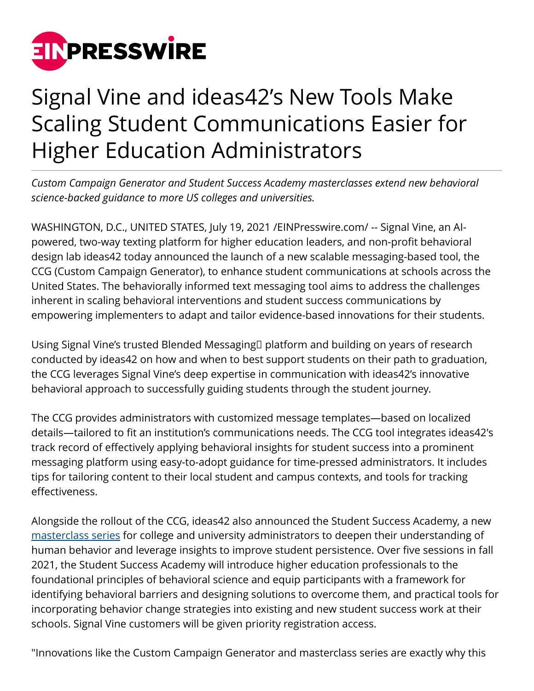

## Signal Vine and ideas42's New Tools Make Scaling Student Communications Easier for Higher Education Administrators

*Custom Campaign Generator and Student Success Academy masterclasses extend new behavioral science-backed guidance to more US colleges and universities.*

WASHINGTON, D.C., UNITED STATES, July 19, 2021 /[EINPresswire.com](http://www.einpresswire.com)/ -- Signal Vine, an AIpowered, two-way texting platform for higher education leaders, and non-profit behavioral design lab ideas42 today announced the launch of a new scalable messaging-based tool, the CCG (Custom Campaign Generator), to enhance student communications at schools across the United States. The behaviorally informed text messaging tool aims to address the challenges inherent in scaling behavioral interventions and student success communications by empowering implementers to adapt and tailor evidence-based innovations for their students.

Using Signal Vine's trusted Blended Messaging□ platform and building on years of research conducted by ideas42 on how and when to best support students on their path to graduation, the CCG leverages Signal Vine's deep expertise in communication with ideas42's innovative behavioral approach to successfully guiding students through the student journey.

The CCG provides administrators with customized message templates—based on localized details—tailored to fit an institution's communications needs. The CCG tool integrates ideas42's track record of effectively applying behavioral insights for student success into a prominent messaging platform using easy-to-adopt guidance for time-pressed administrators. It includes tips for tailoring content to their local student and campus contexts, and tools for tracking effectiveness.

Alongside the rollout of the CCG, ideas42 also announced the Student Success Academy, a new [masterclass series](https://www.ideas42.org/student-success-academy/) for college and university administrators to deepen their understanding of human behavior and leverage insights to improve student persistence. Over five sessions in fall 2021, the Student Success Academy will introduce higher education professionals to the foundational principles of behavioral science and equip participants with a framework for identifying behavioral barriers and designing solutions to overcome them, and practical tools for incorporating behavior change strategies into existing and new student success work at their schools. Signal Vine customers will be given priority registration access.

"Innovations like the Custom Campaign Generator and masterclass series are exactly why this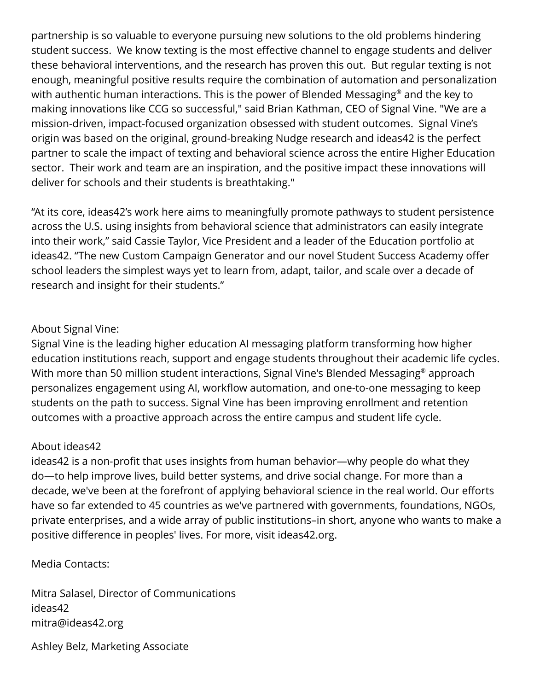partnership is so valuable to everyone pursuing new solutions to the old problems hindering student success. We know texting is the most effective channel to engage students and deliver these behavioral interventions, and the research has proven this out. But regular texting is not enough, meaningful positive results require the combination of automation and personalization with authentic human interactions. This is the power of Blended Messaging® and the key to making innovations like CCG so successful," said Brian Kathman, CEO of Signal Vine. "We are a mission-driven, impact-focused organization obsessed with student outcomes. Signal Vine's origin was based on the original, ground-breaking Nudge research and ideas42 is the perfect partner to scale the impact of texting and behavioral science across the entire Higher Education sector. Their work and team are an inspiration, and the positive impact these innovations will deliver for schools and their students is breathtaking."

"At its core, ideas42's work here aims to meaningfully promote pathways to student persistence across the U.S. using insights from behavioral science that administrators can easily integrate into their work," said Cassie Taylor, Vice President and a leader of the Education portfolio at ideas42. "The new Custom Campaign Generator and our novel Student Success Academy offer school leaders the simplest ways yet to learn from, adapt, tailor, and scale over a decade of research and insight for their students."

## About Signal Vine:

Signal Vine is the leading higher education AI messaging platform transforming how higher education institutions reach, support and engage students throughout their academic life cycles. With more than 50 million student interactions, Signal Vine's Blended Messaging® approach personalizes engagement using AI, workflow automation, and one-to-one messaging to keep students on the path to success. Signal Vine has been improving enrollment and retention outcomes with a proactive approach across the entire campus and student life cycle.

## About ideas42

ideas42 is a non-profit that uses insights from human behavior—why people do what they do—to help improve lives, build better systems, and drive social change. For more than a decade, we've been at the forefront of applying behavioral science in the real world. Our efforts have so far extended to 45 countries as we've partnered with governments, foundations, NGOs, private enterprises, and a wide array of public institutions–in short, anyone who wants to make a positive difference in peoples' lives. For more, visit ideas42.org.

Media Contacts:

Mitra Salasel, Director of Communications ideas42 mitra@ideas42.org

Ashley Belz, Marketing Associate